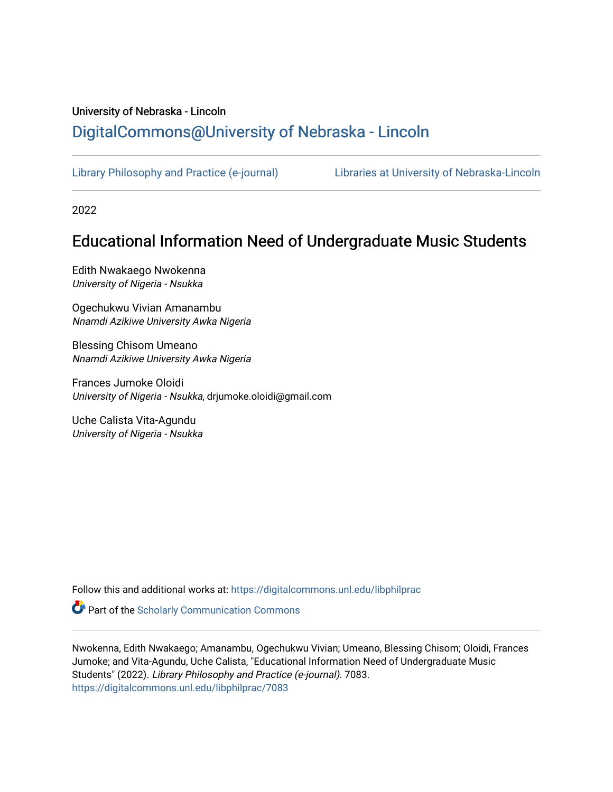## University of Nebraska - Lincoln [DigitalCommons@University of Nebraska - Lincoln](https://digitalcommons.unl.edu/)

[Library Philosophy and Practice \(e-journal\)](https://digitalcommons.unl.edu/libphilprac) [Libraries at University of Nebraska-Lincoln](https://digitalcommons.unl.edu/libraries) 

2022

# Educational Information Need of Undergraduate Music Students

Edith Nwakaego Nwokenna University of Nigeria - Nsukka

Ogechukwu Vivian Amanambu Nnamdi Azikiwe University Awka Nigeria

Blessing Chisom Umeano Nnamdi Azikiwe University Awka Nigeria

Frances Jumoke Oloidi University of Nigeria - Nsukka, drjumoke.oloidi@gmail.com

Uche Calista Vita-Agundu University of Nigeria - Nsukka

Follow this and additional works at: [https://digitalcommons.unl.edu/libphilprac](https://digitalcommons.unl.edu/libphilprac?utm_source=digitalcommons.unl.edu%2Flibphilprac%2F7083&utm_medium=PDF&utm_campaign=PDFCoverPages) 

**Part of the Scholarly Communication Commons** 

Nwokenna, Edith Nwakaego; Amanambu, Ogechukwu Vivian; Umeano, Blessing Chisom; Oloidi, Frances Jumoke; and Vita-Agundu, Uche Calista, "Educational Information Need of Undergraduate Music Students" (2022). Library Philosophy and Practice (e-journal). 7083. [https://digitalcommons.unl.edu/libphilprac/7083](https://digitalcommons.unl.edu/libphilprac/7083?utm_source=digitalcommons.unl.edu%2Flibphilprac%2F7083&utm_medium=PDF&utm_campaign=PDFCoverPages)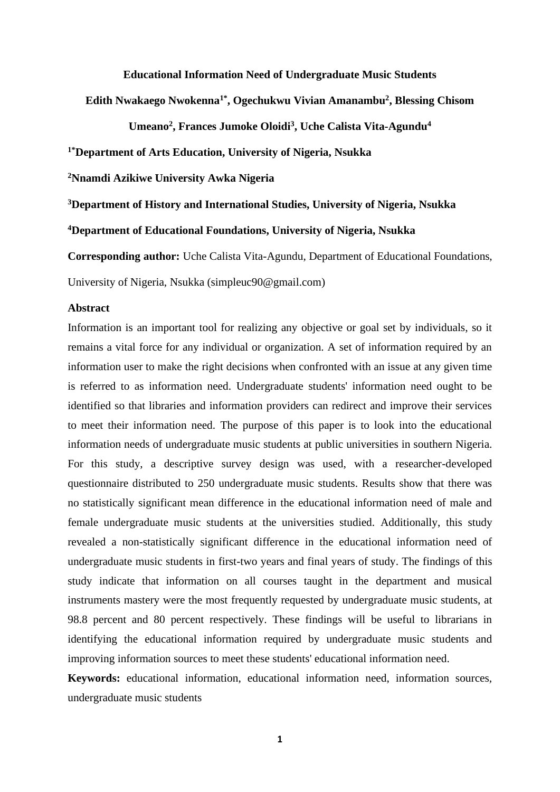#### **Educational Information Need of Undergraduate Music Students**

**Edith Nwakaego Nwokenna1\*, Ogechukwu Vivian Amanambu<sup>2</sup> , Blessing Chisom** 

**Umeano<sup>2</sup> , Frances Jumoke Oloidi<sup>3</sup> , Uche Calista Vita-Agundu<sup>4</sup>**

**1\*Department of Arts Education, University of Nigeria, Nsukka**

**<sup>2</sup>Nnamdi Azikiwe University Awka Nigeria**

**<sup>3</sup>Department of History and International Studies, University of Nigeria, Nsukka**

**<sup>4</sup>Department of Educational Foundations, University of Nigeria, Nsukka**

**Corresponding author:** Uche Calista Vita-Agundu, Department of Educational Foundations,

University of Nigeria, Nsukka (simpleuc90@gmail.com)

## **Abstract**

Information is an important tool for realizing any objective or goal set by individuals, so it remains a vital force for any individual or organization. A set of information required by an information user to make the right decisions when confronted with an issue at any given time is referred to as information need. Undergraduate students' information need ought to be identified so that libraries and information providers can redirect and improve their services to meet their information need. The purpose of this paper is to look into the educational information needs of undergraduate music students at public universities in southern Nigeria. For this study, a descriptive survey design was used, with a researcher-developed questionnaire distributed to 250 undergraduate music students. Results show that there was no statistically significant mean difference in the educational information need of male and female undergraduate music students at the universities studied. Additionally, this study revealed a non-statistically significant difference in the educational information need of undergraduate music students in first-two years and final years of study. The findings of this study indicate that information on all courses taught in the department and musical instruments mastery were the most frequently requested by undergraduate music students, at 98.8 percent and 80 percent respectively. These findings will be useful to librarians in identifying the educational information required by undergraduate music students and improving information sources to meet these students' educational information need.

**Keywords:** educational information, educational information need, information sources, undergraduate music students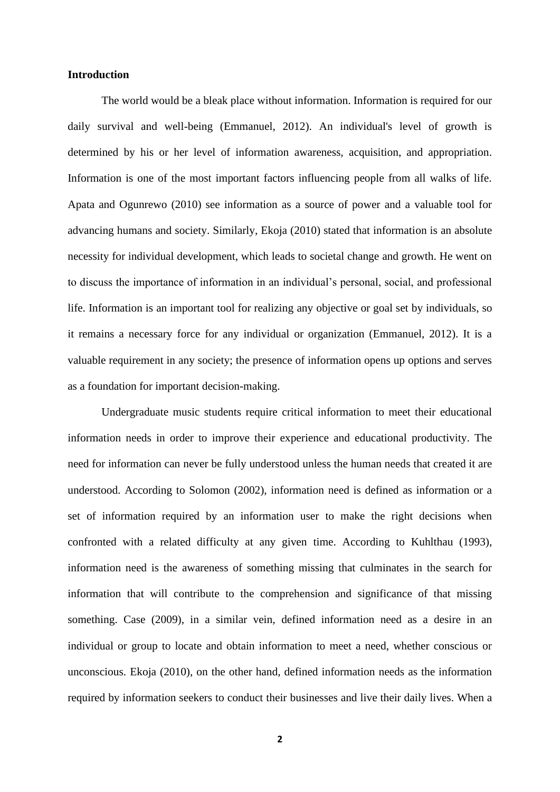#### **Introduction**

The world would be a bleak place without information. Information is required for our daily survival and well-being (Emmanuel, 2012). An individual's level of growth is determined by his or her level of information awareness, acquisition, and appropriation. Information is one of the most important factors influencing people from all walks of life. Apata and Ogunrewo (2010) see information as a source of power and a valuable tool for advancing humans and society. Similarly, Ekoja (2010) stated that information is an absolute necessity for individual development, which leads to societal change and growth. He went on to discuss the importance of information in an individual's personal, social, and professional life. Information is an important tool for realizing any objective or goal set by individuals, so it remains a necessary force for any individual or organization (Emmanuel, 2012). It is a valuable requirement in any society; the presence of information opens up options and serves as a foundation for important decision-making.

Undergraduate music students require critical information to meet their educational information needs in order to improve their experience and educational productivity. The need for information can never be fully understood unless the human needs that created it are understood. According to Solomon (2002), information need is defined as information or a set of information required by an information user to make the right decisions when confronted with a related difficulty at any given time. According to Kuhlthau (1993), information need is the awareness of something missing that culminates in the search for information that will contribute to the comprehension and significance of that missing something. Case (2009), in a similar vein, defined information need as a desire in an individual or group to locate and obtain information to meet a need, whether conscious or unconscious. Ekoja (2010), on the other hand, defined information needs as the information required by information seekers to conduct their businesses and live their daily lives. When a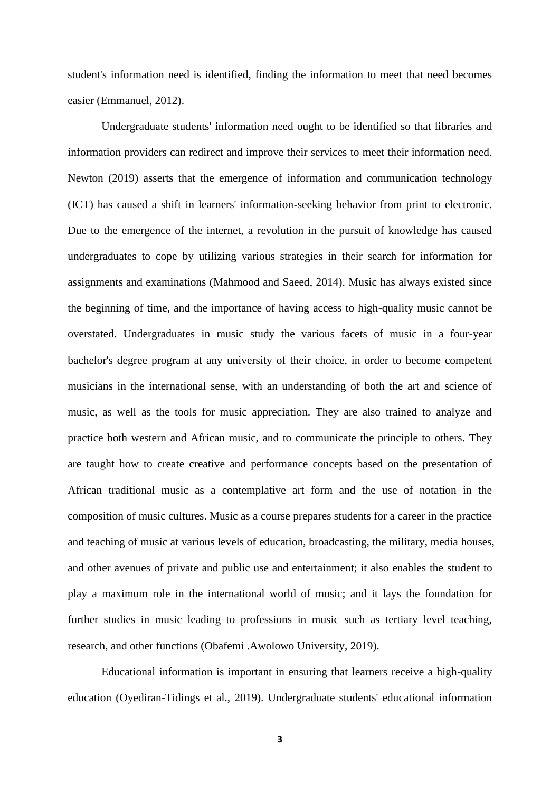student's information need is identified, finding the information to meet that need becomes easier (Emmanuel, 2012).

Undergraduate students' information need ought to be identified so that libraries and information providers can redirect and improve their services to meet their information need. Newton (2019) asserts that the emergence of information and communication technology (ICT) has caused a shift in learners' information-seeking behavior from print to electronic. Due to the emergence of the internet, a revolution in the pursuit of knowledge has caused undergraduates to cope by utilizing various strategies in their search for information for assignments and examinations (Mahmood and Saeed, 2014). Music has always existed since the beginning of time, and the importance of having access to high-quality music cannot be overstated. Undergraduates in music study the various facets of music in a four-year bachelor's degree program at any university of their choice, in order to become competent musicians in the international sense, with an understanding of both the art and science of music, as well as the tools for music appreciation. They are also trained to analyze and practice both western and African music, and to communicate the principle to others. They are taught how to create creative and performance concepts based on the presentation of African traditional music as a contemplative art form and the use of notation in the composition of music cultures. Music as a course prepares students for a career in the practice and teaching of music at various levels of education, broadcasting, the military, media houses, and other avenues of private and public use and entertainment; it also enables the student to play a maximum role in the international world of music; and it lays the foundation for further studies in music leading to professions in music such as tertiary level teaching, research, and other functions (Obafemi .Awolowo University, 2019).

Educational information is important in ensuring that learners receive a high-quality education (Oyediran-Tidings et al., 2019). Undergraduate students' educational information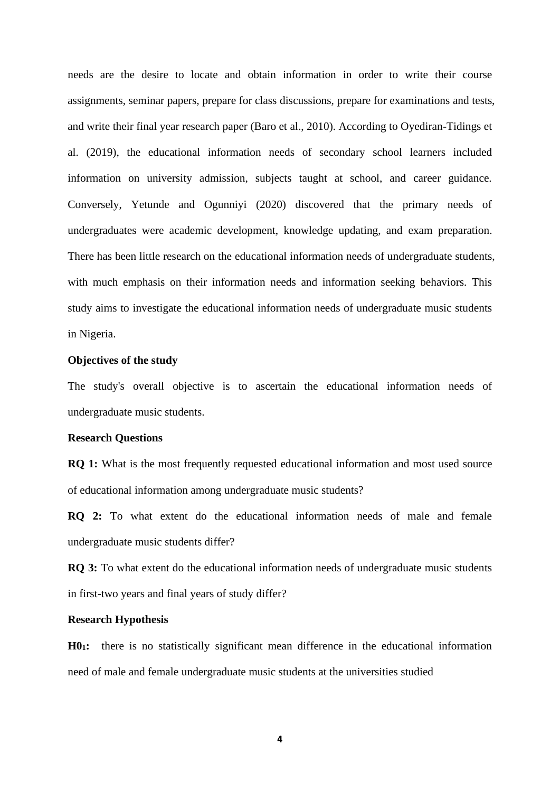needs are the desire to locate and obtain information in order to write their course assignments, seminar papers, prepare for class discussions, prepare for examinations and tests, and write their final year research paper (Baro et al., 2010). According to Oyediran-Tidings et al. (2019), the educational information needs of secondary school learners included information on university admission, subjects taught at school, and career guidance. Conversely, Yetunde and Ogunniyi (2020) discovered that the primary needs of undergraduates were academic development, knowledge updating, and exam preparation. There has been little research on the educational information needs of undergraduate students, with much emphasis on their information needs and information seeking behaviors. This study aims to investigate the educational information needs of undergraduate music students in Nigeria.

#### **Objectives of the study**

The study's overall objective is to ascertain the educational information needs of undergraduate music students.

#### **Research Questions**

**RQ 1:** What is the most frequently requested educational information and most used source of educational information among undergraduate music students?

**RQ 2:** To what extent do the educational information needs of male and female undergraduate music students differ?

**RQ 3:** To what extent do the educational information needs of undergraduate music students in first-two years and final years of study differ?

#### **Research Hypothesis**

**H01:** there is no statistically significant mean difference in the educational information need of male and female undergraduate music students at the universities studied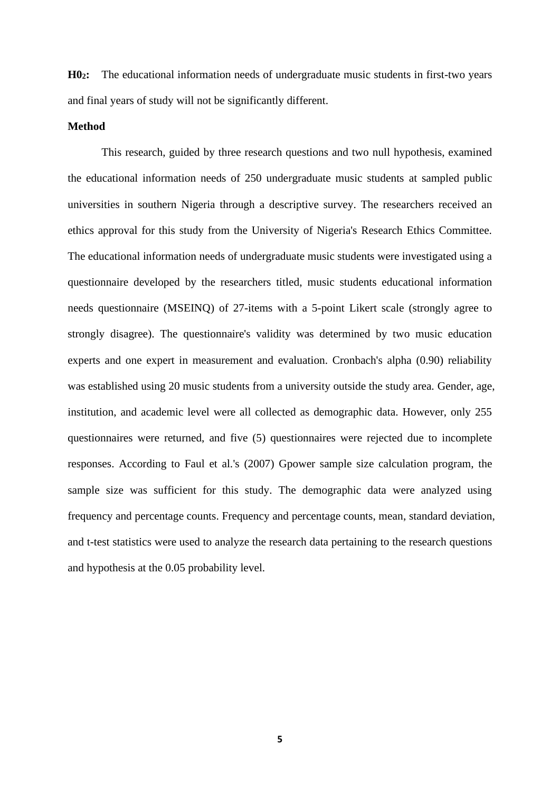**H02:** The educational information needs of undergraduate music students in first-two years and final years of study will not be significantly different.

#### **Method**

This research, guided by three research questions and two null hypothesis, examined the educational information needs of 250 undergraduate music students at sampled public universities in southern Nigeria through a descriptive survey. The researchers received an ethics approval for this study from the University of Nigeria's Research Ethics Committee. The educational information needs of undergraduate music students were investigated using a questionnaire developed by the researchers titled, music students educational information needs questionnaire (MSEINQ) of 27-items with a 5-point Likert scale (strongly agree to strongly disagree). The questionnaire's validity was determined by two music education experts and one expert in measurement and evaluation. Cronbach's alpha (0.90) reliability was established using 20 music students from a university outside the study area. Gender, age, institution, and academic level were all collected as demographic data. However, only 255 questionnaires were returned, and five (5) questionnaires were rejected due to incomplete responses. According to Faul et al.'s (2007) Gpower sample size calculation program, the sample size was sufficient for this study. The demographic data were analyzed using frequency and percentage counts. Frequency and percentage counts, mean, standard deviation, and t-test statistics were used to analyze the research data pertaining to the research questions and hypothesis at the 0.05 probability level.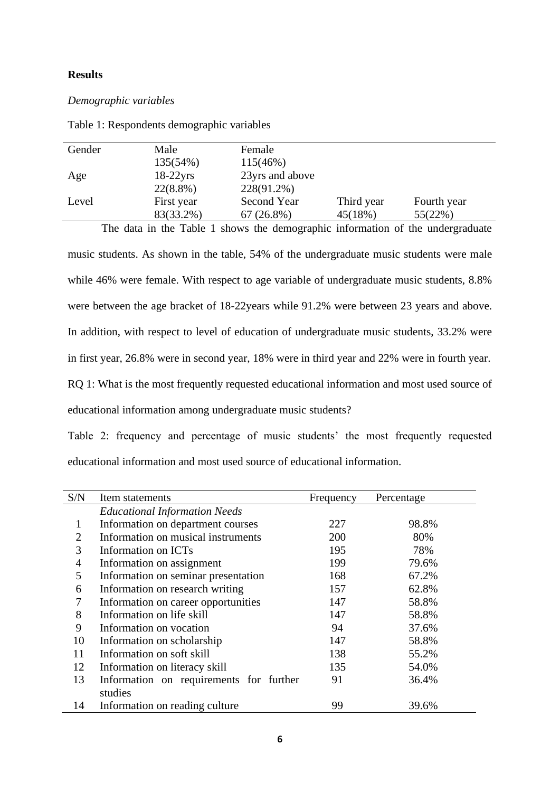### **Results**

## *Demographic variables*

| Gender | Male        | Female          |            |             |  |
|--------|-------------|-----------------|------------|-------------|--|
|        | 135(54%)    | 115(46%)        |            |             |  |
| Age    | $18-22$ yrs | 23yrs and above |            |             |  |
|        | $22(8.8\%)$ | 228(91.2%)      |            |             |  |
| Level  | First year  | Second Year     | Third year | Fourth year |  |
|        | 83(33.2%)   | $67(26.8\%)$    | 45(18%)    | 55(22%)     |  |

Table 1: Respondents demographic variables

The data in the Table 1 shows the demographic information of the undergraduate music students. As shown in the table, 54% of the undergraduate music students were male while 46% were female. With respect to age variable of undergraduate music students, 8.8% were between the age bracket of 18-22years while 91.2% were between 23 years and above. In addition, with respect to level of education of undergraduate music students, 33.2% were in first year, 26.8% were in second year, 18% were in third year and 22% were in fourth year. RQ 1: What is the most frequently requested educational information and most used source of educational information among undergraduate music students?

Table 2: frequency and percentage of music students' the most frequently requested educational information and most used source of educational information.

| S/N            | Item statements                         | Frequency | Percentage |
|----------------|-----------------------------------------|-----------|------------|
|                | <b>Educational Information Needs</b>    |           |            |
|                | Information on department courses       | 227       | 98.8%      |
| $\overline{2}$ | Information on musical instruments      | 200       | 80%        |
| 3              | Information on ICTs                     | 195       | 78%        |
| 4              | Information on assignment               | 199       | 79.6%      |
| 5              | Information on seminar presentation     | 168       | 67.2%      |
| 6              | Information on research writing         | 157       | 62.8%      |
|                | Information on career opportunities     | 147       | 58.8%      |
| 8              | Information on life skill               | 147       | 58.8%      |
| 9              | Information on vocation                 | 94        | 37.6%      |
| 10             | Information on scholarship              | 147       | 58.8%      |
| 11             | Information on soft skill               | 138       | 55.2%      |
| 12             | Information on literacy skill           | 135       | 54.0%      |
| 13             | Information on requirements for further | 91        | 36.4%      |
|                | studies                                 |           |            |
| 14             | Information on reading culture          | 99        | 39.6%      |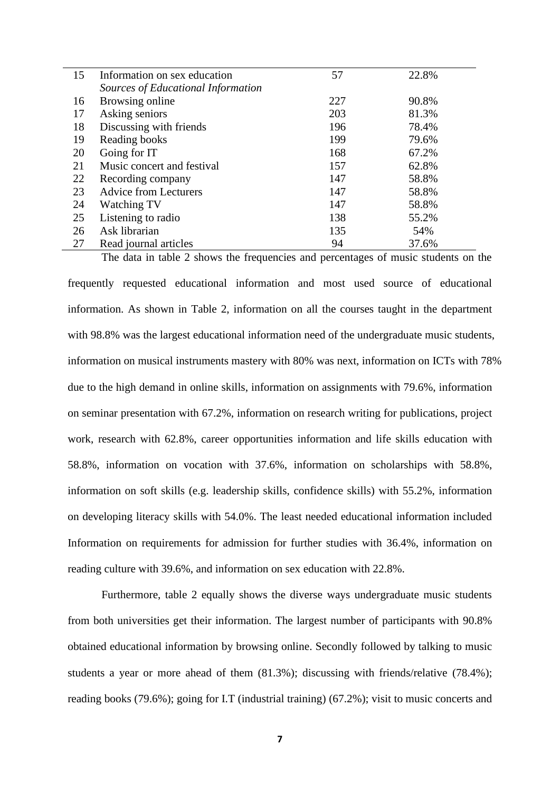| 15 | Information on sex education       | 57  | 22.8% |  |
|----|------------------------------------|-----|-------|--|
|    | Sources of Educational Information |     |       |  |
| 16 | Browsing online                    | 227 | 90.8% |  |
| 17 | Asking seniors                     | 203 | 81.3% |  |
| 18 | Discussing with friends            | 196 | 78.4% |  |
| 19 | Reading books                      | 199 | 79.6% |  |
| 20 | Going for IT                       | 168 | 67.2% |  |
| 21 | Music concert and festival         | 157 | 62.8% |  |
| 22 | Recording company                  | 147 | 58.8% |  |
| 23 | <b>Advice from Lecturers</b>       | 147 | 58.8% |  |
| 24 | Watching TV                        | 147 | 58.8% |  |
| 25 | Listening to radio                 | 138 | 55.2% |  |
| 26 | Ask librarian                      | 135 | 54%   |  |
| 27 | Read journal articles              | 94  | 37.6% |  |

The data in table 2 shows the frequencies and percentages of music students on the frequently requested educational information and most used source of educational information. As shown in Table 2, information on all the courses taught in the department with 98.8% was the largest educational information need of the undergraduate music students, information on musical instruments mastery with 80% was next, information on ICTs with 78% due to the high demand in online skills, information on assignments with 79.6%, information on seminar presentation with 67.2%, information on research writing for publications, project work, research with 62.8%, career opportunities information and life skills education with 58.8%, information on vocation with 37.6%, information on scholarships with 58.8%, information on soft skills (e.g. leadership skills, confidence skills) with 55.2%, information on developing literacy skills with 54.0%. The least needed educational information included Information on requirements for admission for further studies with 36.4%, information on reading culture with 39.6%, and information on sex education with 22.8%.

Furthermore, table 2 equally shows the diverse ways undergraduate music students from both universities get their information. The largest number of participants with 90.8% obtained educational information by browsing online. Secondly followed by talking to music students a year or more ahead of them (81.3%); discussing with friends/relative (78.4%); reading books (79.6%); going for I.T (industrial training) (67.2%); visit to music concerts and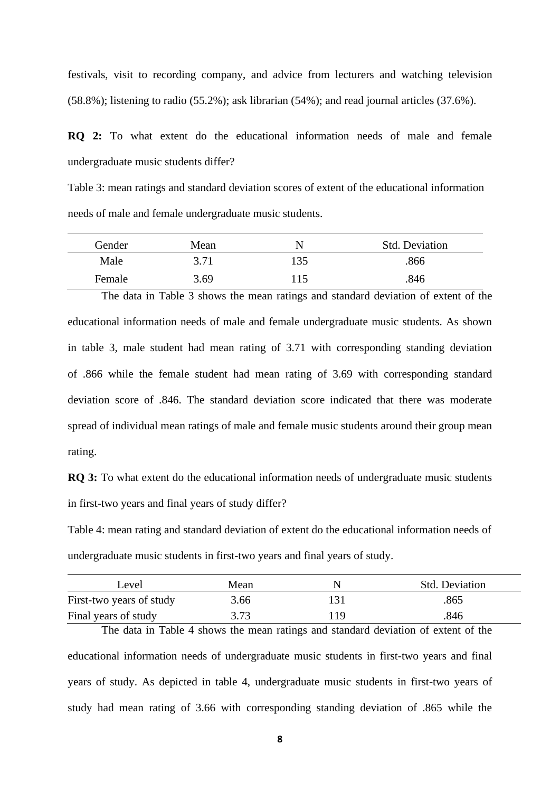festivals, visit to recording company, and advice from lecturers and watching television (58.8%); listening to radio (55.2%); ask librarian (54%); and read journal articles (37.6%).

**RQ 2:** To what extent do the educational information needs of male and female undergraduate music students differ?

Table 3: mean ratings and standard deviation scores of extent of the educational information needs of male and female undergraduate music students.

| Gender | Mean |      | <b>Std. Deviation</b> |
|--------|------|------|-----------------------|
| Male   | 3.71 | 135  | .866                  |
| Female | 3.69 | ! 15 | .846                  |

The data in Table 3 shows the mean ratings and standard deviation of extent of the educational information needs of male and female undergraduate music students. As shown in table 3, male student had mean rating of 3.71 with corresponding standing deviation of .866 while the female student had mean rating of 3.69 with corresponding standard deviation score of .846. The standard deviation score indicated that there was moderate spread of individual mean ratings of male and female music students around their group mean rating.

**RQ 3:** To what extent do the educational information needs of undergraduate music students in first-two years and final years of study differ?

Table 4: mean rating and standard deviation of extent do the educational information needs of undergraduate music students in first-two years and final years of study.

| Level                    | Mean |     | <b>Std.</b> Deviation |
|--------------------------|------|-----|-----------------------|
| First-two years of study | 3.66 |     | .865                  |
| Final years of study     | 3.73 | 119 | .846                  |

The data in Table 4 shows the mean ratings and standard deviation of extent of the educational information needs of undergraduate music students in first-two years and final years of study. As depicted in table 4, undergraduate music students in first-two years of study had mean rating of 3.66 with corresponding standing deviation of .865 while the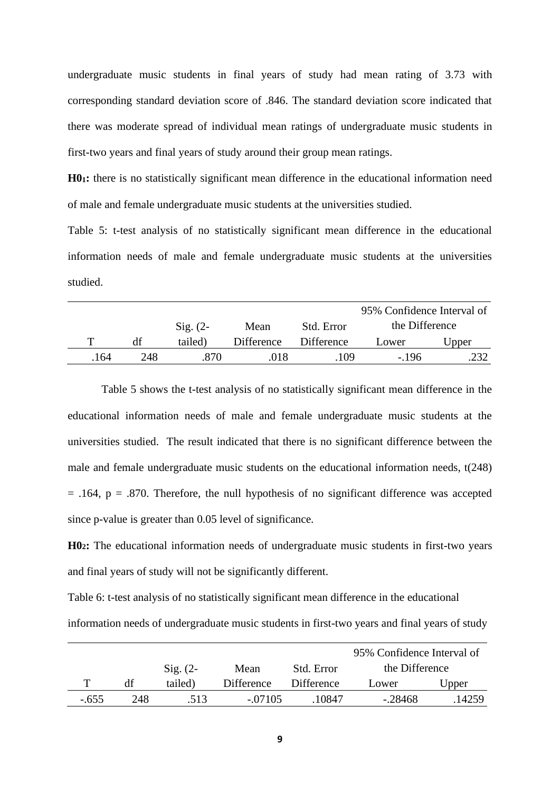undergraduate music students in final years of study had mean rating of 3.73 with corresponding standard deviation score of .846. The standard deviation score indicated that there was moderate spread of individual mean ratings of undergraduate music students in first-two years and final years of study around their group mean ratings.

**H01:** there is no statistically significant mean difference in the educational information need of male and female undergraduate music students at the universities studied.

Table 5: t-test analysis of no statistically significant mean difference in the educational information needs of male and female undergraduate music students at the universities studied.

|      |     |                     |            |            | 95% Confidence Interval of |       |
|------|-----|---------------------|------------|------------|----------------------------|-------|
|      |     | $\mathrm{Sig.}$ (2- | Mean       | Std. Error | the Difference             |       |
|      | df  | tailed)             | Difference | Difference | Lower                      | Upper |
| .164 | 248 | 870                 | .018       | 109        | $-196$                     |       |

Table 5 shows the t-test analysis of no statistically significant mean difference in the educational information needs of male and female undergraduate music students at the universities studied. The result indicated that there is no significant difference between the male and female undergraduate music students on the educational information needs, t(248)  $= .164$ ,  $p = .870$ . Therefore, the null hypothesis of no significant difference was accepted since p-value is greater than 0.05 level of significance.

**H02:** The educational information needs of undergraduate music students in first-two years and final years of study will not be significantly different.

Table 6: t-test analysis of no statistically significant mean difference in the educational information needs of undergraduate music students in first-two years and final years of study

|         |     |            |            |                   | 95% Confidence Interval of |        |
|---------|-----|------------|------------|-------------------|----------------------------|--------|
|         |     | $Sig. (2-$ | Mean       | Std. Error        | the Difference             |        |
|         | df  | tailed)    | Difference | <b>Difference</b> | Lower                      | Upper  |
| $-.655$ | 248 | .513       | $-07105$   | .10847            | $-28468$                   | .14259 |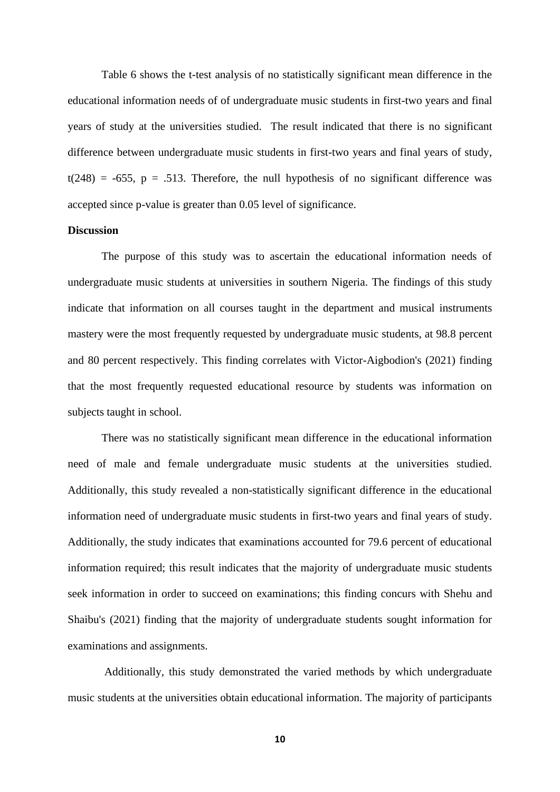Table 6 shows the t-test analysis of no statistically significant mean difference in the educational information needs of of undergraduate music students in first-two years and final years of study at the universities studied. The result indicated that there is no significant difference between undergraduate music students in first-two years and final years of study,  $t(248) = -655$ ,  $p = .513$ . Therefore, the null hypothesis of no significant difference was accepted since p-value is greater than 0.05 level of significance.

#### **Discussion**

The purpose of this study was to ascertain the educational information needs of undergraduate music students at universities in southern Nigeria. The findings of this study indicate that information on all courses taught in the department and musical instruments mastery were the most frequently requested by undergraduate music students, at 98.8 percent and 80 percent respectively. This finding correlates with Victor-Aigbodion's (2021) finding that the most frequently requested educational resource by students was information on subjects taught in school.

There was no statistically significant mean difference in the educational information need of male and female undergraduate music students at the universities studied. Additionally, this study revealed a non-statistically significant difference in the educational information need of undergraduate music students in first-two years and final years of study. Additionally, the study indicates that examinations accounted for 79.6 percent of educational information required; this result indicates that the majority of undergraduate music students seek information in order to succeed on examinations; this finding concurs with Shehu and Shaibu's (2021) finding that the majority of undergraduate students sought information for examinations and assignments.

Additionally, this study demonstrated the varied methods by which undergraduate music students at the universities obtain educational information. The majority of participants

**10**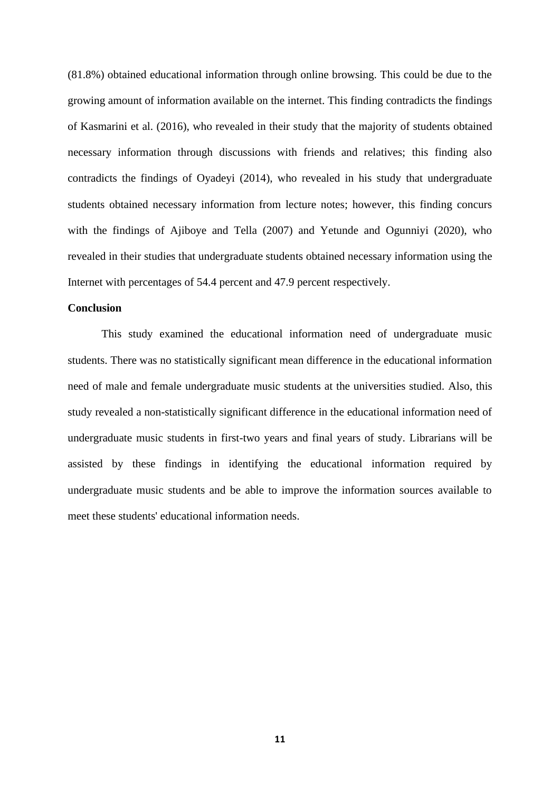(81.8%) obtained educational information through online browsing. This could be due to the growing amount of information available on the internet. This finding contradicts the findings of Kasmarini et al. (2016), who revealed in their study that the majority of students obtained necessary information through discussions with friends and relatives; this finding also contradicts the findings of Oyadeyi (2014), who revealed in his study that undergraduate students obtained necessary information from lecture notes; however, this finding concurs with the findings of Ajiboye and Tella (2007) and Yetunde and Ogunniyi (2020), who revealed in their studies that undergraduate students obtained necessary information using the Internet with percentages of 54.4 percent and 47.9 percent respectively.

## **Conclusion**

This study examined the educational information need of undergraduate music students. There was no statistically significant mean difference in the educational information need of male and female undergraduate music students at the universities studied. Also, this study revealed a non-statistically significant difference in the educational information need of undergraduate music students in first-two years and final years of study. Librarians will be assisted by these findings in identifying the educational information required by undergraduate music students and be able to improve the information sources available to meet these students' educational information needs.

**11**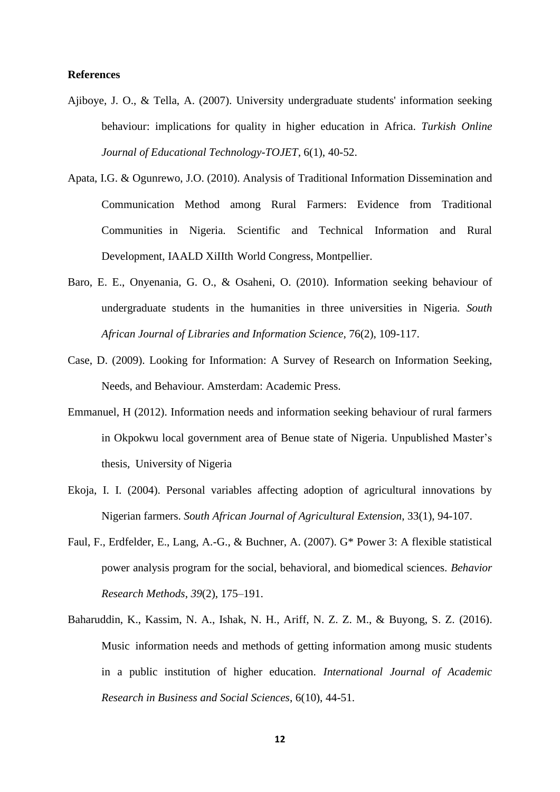#### **References**

- Ajiboye, J. O., & Tella, A. (2007). University undergraduate students' information seeking behaviour: implications for quality in higher education in Africa. *Turkish Online Journal of Educational Technology-TOJET*, 6(1), 40-52.
- Apata, I.G. & Ogunrewo, J.O. (2010). Analysis of Traditional Information Dissemination and Communication Method among Rural Farmers: Evidence from Traditional Communities in Nigeria. Scientific and Technical Information and Rural Development, IAALD XiIIth World Congress, Montpellier.
- Baro, E. E., Onyenania, G. O., & Osaheni, O. (2010). Information seeking behaviour of undergraduate students in the humanities in three universities in Nigeria. *South African Journal of Libraries and Information Science*, 76(2), 109-117.
- Case, D. (2009). Looking for Information: A Survey of Research on Information Seeking, Needs, and Behaviour. Amsterdam: Academic Press.
- Emmanuel, H (2012). Information needs and information seeking behaviour of rural farmers in Okpokwu local government area of Benue state of Nigeria. Unpublished Master's thesis, University of Nigeria
- Ekoja, I. I. (2004). Personal variables affecting adoption of agricultural innovations by Nigerian farmers. *South African Journal of Agricultural Extension*, 33(1), 94-107.
- Faul, F., Erdfelder, E., Lang, A.-G., & Buchner, A. (2007). G\* Power 3: A flexible statistical power analysis program for the social, behavioral, and biomedical sciences. *Behavior Research Methods*, *39*(2), 175–191.
- Baharuddin, K., Kassim, N. A., Ishak, N. H., Ariff, N. Z. Z. M., & Buyong, S. Z. (2016). Music information needs and methods of getting information among music students in a public institution of higher education. *International Journal of Academic Research in Business and Social Sciences*, 6(10), 44-51.